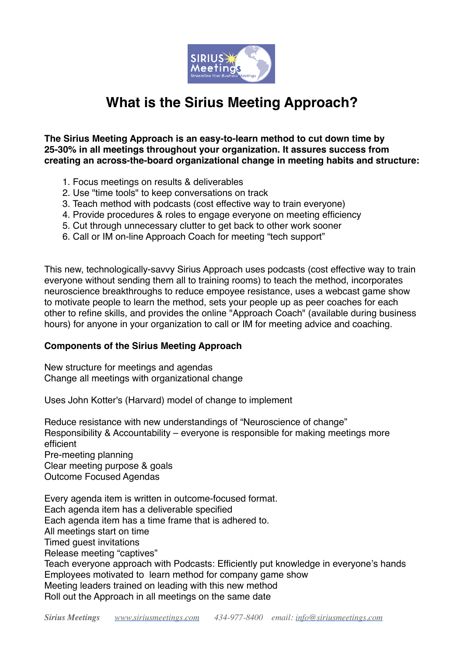

## **What is the Sirius Meeting Approach?**

**The Sirius Meeting Approach is an easy-to-learn method to cut down time by 25-30% in all meetings throughout your organization. It assures success from creating an across-the-board organizational change in meeting habits and structure:**

- 1. Focus meetings on results & deliverables
- 2. Use "time tools" to keep conversations on track
- 3. Teach method with podcasts (cost effective way to train everyone)
- 4. Provide procedures & roles to engage everyone on meeting efficiency
- 5. Cut through unnecessary clutter to get back to other work sooner
- 6. Call or IM on-line Approach Coach for meeting "tech support"

This new, technologically-savvy Sirius Approach uses podcasts (cost effective way to train everyone without sending them all to training rooms) to teach the method, incorporates neuroscience breakthroughs to reduce empoyee resistance, uses a webcast game show to motivate people to learn the method, sets your people up as peer coaches for each other to refine skills, and provides the online "Approach Coach" (available during business hours) for anyone in your organization to call or IM for meeting advice and coaching.

## **Components of the Sirius Meeting Approach**

New structure for meetings and agendas Change all meetings with organizational change

Uses John Kotter's (Harvard) model of change to implement

Reduce resistance with new understandings of "Neuroscience of change" Responsibility & Accountability – everyone is responsible for making meetings more efficient Pre-meeting planning Clear meeting purpose & goals Outcome Focused Agendas

Every agenda item is written in outcome-focused format. Each agenda item has a deliverable specified Each agenda item has a time frame that is adhered to. All meetings start on time Timed guest invitations Release meeting "captives" Teach everyone approach with Podcasts: Efficiently put knowledge in everyone's hands Employees motivated to learn method for company game show Meeting leaders trained on leading with this new method Roll out the Approach in all meetings on the same date